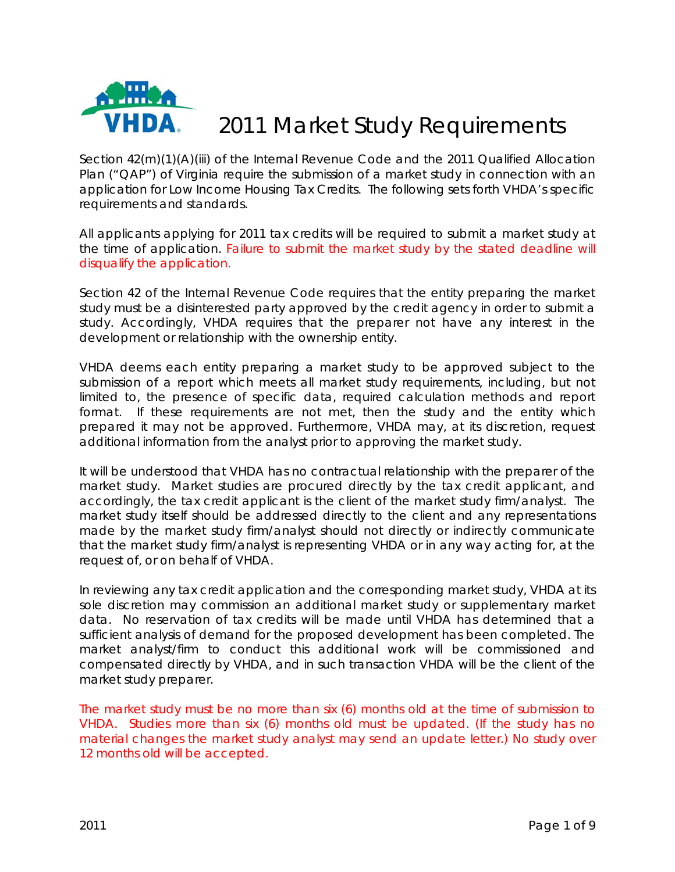

# 2011 Market Study Requirements

Section 42(m)(1)(A)(iii) of the Internal Revenue Code and the 2011 Qualified Allocation Plan ("QAP") of Virginia require the submission of a market study in connection with an application for Low Income Housing Tax Credits. The following sets forth VHDA's specific requirements and standards.

All applicants applying for 2011 tax credits will be required to submit a market study at the time of application. Failure to submit the market study by the stated deadline will disqualify the application.

Section 42 of the Internal Revenue Code requires that the entity preparing the market study must be a disinterested party approved by the credit agency in order to submit a study. Accordingly, VHDA requires that the preparer not have any interest in the development or relationship with the ownership entity.

VHDA deems each entity preparing a market study to be approved subject to the submission of a report which meets all market study requirements, including, but not limited to, the presence of specific data, required calculation methods and report format. If these requirements are not met, then the study and the entity which prepared it may not be approved. Furthermore, VHDA may, at its discretion, request additional information from the analyst prior to approving the market study.

It will be understood that VHDA has no contractual relationship with the preparer of the market study. Market studies are procured directly by the tax credit applicant, and accordingly, the tax credit applicant is the client of the market study firm/analyst. The market study itself should be addressed directly to the client and any representations made by the market study firm/analyst should not directly or indirectly communicate that the market study firm/analyst is representing VHDA or in any way acting for, at the request of, or on behalf of VHDA.

In reviewing any tax credit application and the corresponding market study, VHDA at its sole discretion may commission an additional market study or supplementary market data. No reservation of tax credits will be made until VHDA has determined that a sufficient analysis of demand for the proposed development has been completed. The market analyst/firm to conduct this additional work will be commissioned and compensated directly by VHDA, and in such transaction VHDA will be the client of the market study preparer.

The market study must be no more than six (6) months old at the time of submission to VHDA. Studies more than six (6) months old must be updated. (If the study has no material changes the market study analyst may send an update letter.) No study over 12 months old will be accepted.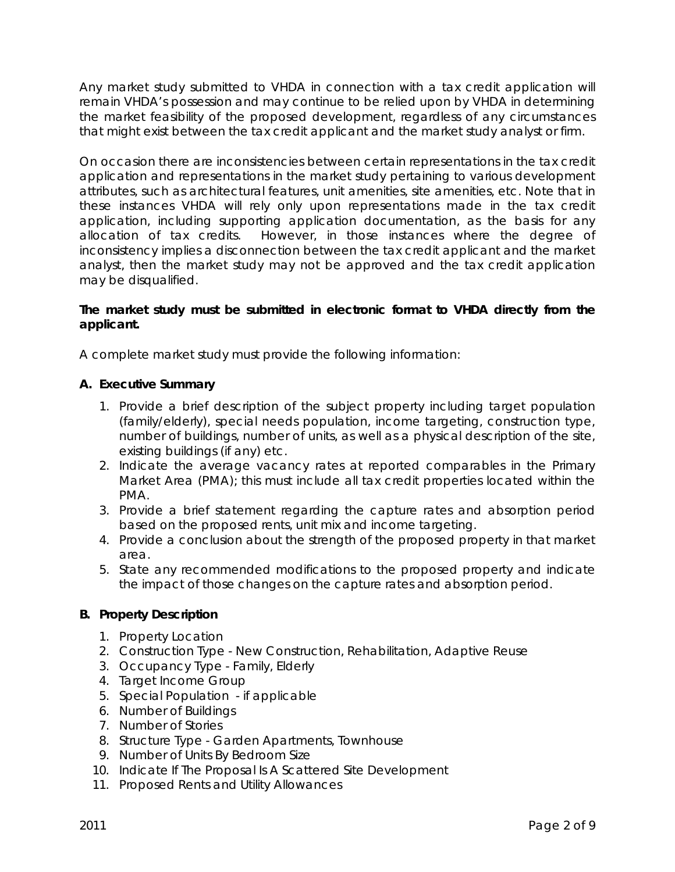Any market study submitted to VHDA in connection with a tax credit application will remain VHDA's possession and may continue to be relied upon by VHDA in determining the market feasibility of the proposed development, regardless of any circumstances that might exist between the tax credit applicant and the market study analyst or firm.

On occasion there are inconsistencies between certain representations in the tax credit application and representations in the market study pertaining to various development attributes, such as architectural features, unit amenities, site amenities, etc. Note that in these instances VHDA will rely only upon representations made in the tax credit application, including supporting application documentation, as the basis for any allocation of tax credits. However, in those instances where the degree of inconsistency implies a disconnection between the tax credit applicant and the market analyst, then the market study may not be approved and the tax credit application may be disqualified.

## **The market study must be submitted in electronic format to VHDA directly from the applicant.**

A complete market study must provide the following information:

## **A. Executive Summary**

- 1. Provide a brief description of the subject property including target population (family/elderly), special needs population, income targeting, construction type, number of buildings, number of units, as well as a physical description of the site, existing buildings (if any) etc.
- 2. Indicate the average vacancy rates at reported comparables in the Primary Market Area (PMA); this must include all tax credit properties located within the PMA.
- 3. Provide a brief statement regarding the capture rates and absorption period based on the proposed rents, unit mix and income targeting.
- 4. Provide a conclusion about the strength of the proposed property in that market area.
- 5. State any recommended modifications to the proposed property and indicate the impact of those changes on the capture rates and absorption period.

# **B. Property Description**

- 1. Property Location
- 2. Construction Type New Construction, Rehabilitation, Adaptive Reuse
- 3. Occupancy Type Family, Elderly
- 4. Target Income Group
- 5. Special Population if applicable
- 6. Number of Buildings
- 7. Number of Stories
- 8. Structure Type Garden Apartments, Townhouse
- 9. Number of Units By Bedroom Size
- 10. Indicate If The Proposal Is A Scattered Site Development
- 11. Proposed Rents and Utility Allowances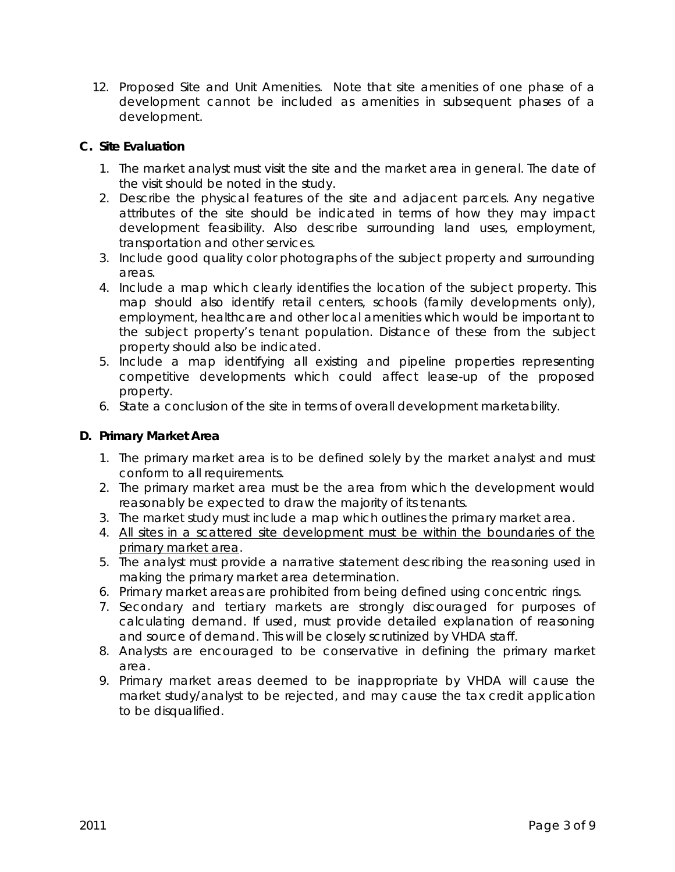12. Proposed Site and Unit Amenities. Note that site amenities of one phase of a development cannot be included as amenities in subsequent phases of a development.

# **C. Site Evaluation**

- 1. The market analyst must visit the site and the market area in general. The date of the visit should be noted in the study.
- 2. Describe the physical features of the site and adjacent parcels. Any negative attributes of the site should be indicated in terms of how they may impact development feasibility. Also describe surrounding land uses, employment, transportation and other services.
- 3. Include good quality color photographs of the subject property and surrounding areas.
- 4. Include a map which clearly identifies the location of the subject property. This map should also identify retail centers, schools (family developments only), employment, healthcare and other local amenities which would be important to the subject property's tenant population. Distance of these from the subject property should also be indicated.
- 5. Include a map identifying all existing and pipeline properties representing competitive developments which could affect lease-up of the proposed property.
- 6. State a conclusion of the site in terms of overall development marketability.

## **D. Primary Market Area**

- 1. The primary market area is to be defined solely by the market analyst and must conform to all requirements.
- 2. The primary market area must be the area from which the development would reasonably be expected to draw the majority of its tenants.
- 3. The market study must include a map which outlines the primary market area.
- 4. All sites in a scattered site development must be within the boundaries of the primary market area.
- 5. The analyst must provide a narrative statement describing the reasoning used in making the primary market area determination.
- 6. Primary market areas are prohibited from being defined using concentric rings.
- 7. Secondary and tertiary markets are strongly discouraged for purposes of calculating demand. If used, must provide detailed explanation of reasoning and source of demand. This will be closely scrutinized by VHDA staff.
- 8. Analysts are encouraged to be conservative in defining the primary market area.
- 9. Primary market areas deemed to be inappropriate by VHDA will cause the market study/analyst to be rejected, and may cause the tax credit application to be disqualified.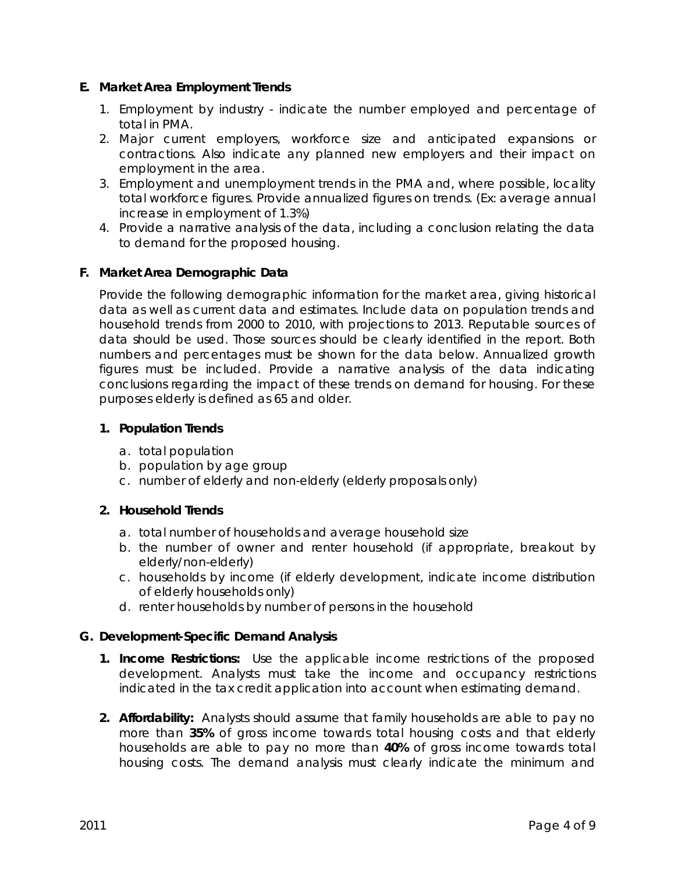## **E. Market Area Employment Trends**

- 1. Employment by industry indicate the number employed and percentage of total in PMA.
- 2. Major current employers, workforce size and anticipated expansions or contractions. Also indicate any planned new employers and their impact on employment in the area.
- 3. Employment and unemployment trends in the PMA and, where possible, locality total workforce figures. Provide annualized figures on trends. (Ex: average annual increase in employment of 1.3%)
- 4. Provide a narrative analysis of the data, including a conclusion relating the data to demand for the proposed housing.

## **F. Market Area Demographic Data**

Provide the following demographic information for the market area, giving historical data as well as current data and estimates. Include data on population trends and household trends from 2000 to 2010, with projections to 2013. Reputable sources of data should be used. Those sources should be clearly identified in the report. Both numbers and percentages must be shown for the data below. Annualized growth figures must be included. Provide a narrative analysis of the data indicating conclusions regarding the impact of these trends on demand for housing. For these purposes elderly is defined as 65 and older.

## **1. Population Trends**

- a. total population
- b. population by age group
- c. number of elderly and non-elderly (elderly proposals only)

#### **2. Household Trends**

- a. total number of households and average household size
- b. the number of owner and renter household (if appropriate, breakout by elderly/non-elderly)
- c. households by income (if elderly development, indicate income distribution of elderly households only)
- d. renter households by number of persons in the household

#### **G. Development-Specific Demand Analysis**

- **1. Income Restrictions:** Use the applicable income restrictions of the proposed development. Analysts must take the income and occupancy restrictions indicated in the tax credit application into account when estimating demand.
- **2. Affordability:** Analysts should assume that family households are able to pay no more than **35%** of gross income towards total housing costs and that elderly households are able to pay no more than **40%** of gross income towards total housing costs. The demand analysis must clearly indicate the minimum and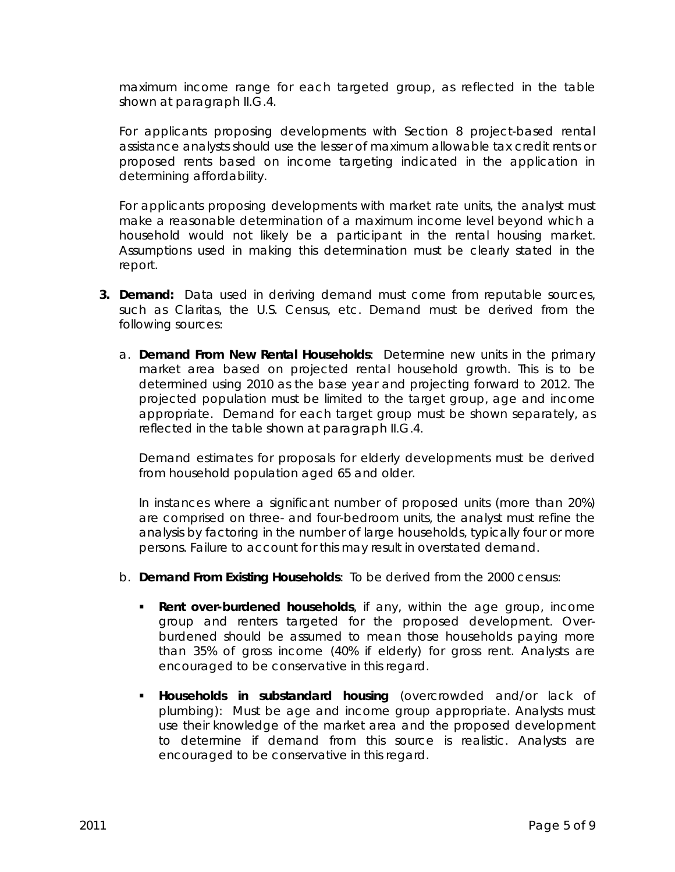maximum income range for each targeted group, as reflected in the table shown at paragraph II.G.4.

For applicants proposing developments with Section 8 project-based rental assistance analysts should use the lesser of maximum allowable tax credit rents or proposed rents based on income targeting indicated in the application in determining affordability.

For applicants proposing developments with market rate units, the analyst must make a reasonable determination of a maximum income level beyond which a household would not likely be a participant in the rental housing market. Assumptions used in making this determination must be clearly stated in the report.

- **3. Demand:** Data used in deriving demand must come from reputable sources, such as Claritas, the U.S. Census, etc. Demand must be derived from the following sources:
	- a. **Demand From New Rental Households**: Determine new units in the primary market area based on projected rental household growth. This is to be determined using 2010 as the base year and projecting forward to 2012. The projected population must be limited to the target group, age and income appropriate. Demand for each target group must be shown separately, as reflected in the table shown at paragraph II.G.4.

Demand estimates for proposals for elderly developments must be derived from household population aged 65 and older.

In instances where a significant number of proposed units (more than 20%) are comprised on three- and four-bedroom units, the analyst must refine the analysis by factoring in the number of large households, typically four or more persons. Failure to account for this may result in overstated demand.

- b. **Demand From Existing Households**: To be derived from the 2000 census:
	- **Rent over-burdened households**, if any, within the age group, income group and renters targeted for the proposed development. Overburdened should be assumed to mean those households paying more than 35% of gross income (40% if elderly) for gross rent. Analysts are encouraged to be conservative in this regard.
	- **Households in substandard housing** (overcrowded and/or lack of plumbing): Must be age and income group appropriate. Analysts must use their knowledge of the market area and the proposed development to determine if demand from this source is realistic. Analysts are encouraged to be conservative in this regard.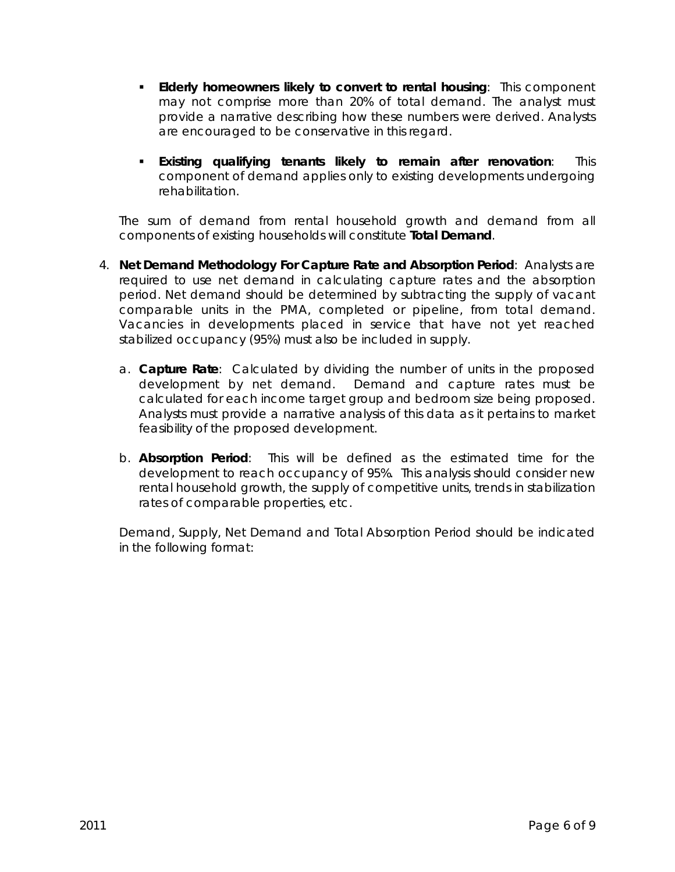- **Elderly homeowners likely to convert to rental housing**: This component may not comprise more than 20% of total demand. The analyst must provide a narrative describing how these numbers were derived. Analysts are encouraged to be conservative in this regard.
- **Existing qualifying tenants likely to remain after renovation**: This component of demand applies only to existing developments undergoing rehabilitation.

The sum of demand from rental household growth and demand from all components of existing households will constitute **Total Demand**.

- 4. **Net Demand Methodology For Capture Rate and Absorption Period**: Analysts are required to use net demand in calculating capture rates and the absorption period. Net demand should be determined by subtracting the supply of vacant comparable units in the PMA, completed or pipeline, from total demand. Vacancies in developments placed in service that have not yet reached stabilized occupancy (95%) must also be included in supply.
	- a. **Capture Rate**: Calculated by dividing the number of units in the proposed development by net demand. Demand and capture rates must be calculated for each income target group and bedroom size being proposed. Analysts must provide a narrative analysis of this data as it pertains to market feasibility of the proposed development.
	- b. **Absorption Period**: This will be defined as the estimated time for the development to reach occupancy of 95%. This analysis should consider new rental household growth, the supply of competitive units, trends in stabilization rates of comparable properties, etc.

Demand, Supply, Net Demand and Total Absorption Period should be indicated in the following format: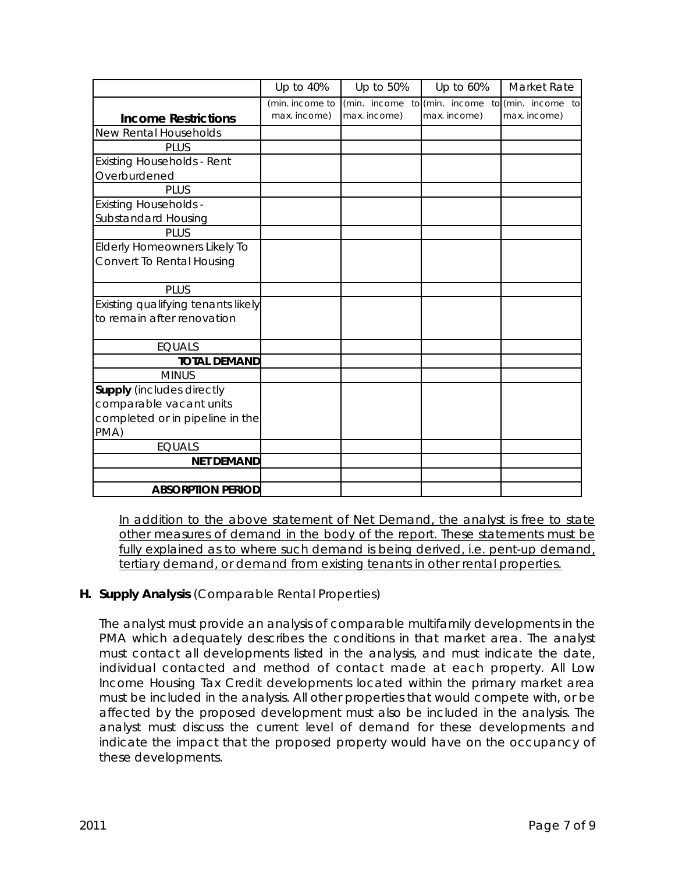|                                    | Up to 40%       | Up to 50%    | Up to 60%    | Market Rate                        |
|------------------------------------|-----------------|--------------|--------------|------------------------------------|
|                                    | (min. income to | (min. income |              | to (min. income to (min. income to |
| <b>Income Restrictions</b>         | max. income)    | max. income) | max. income) | max. income)                       |
| New Rental Households              |                 |              |              |                                    |
| <b>PLUS</b>                        |                 |              |              |                                    |
| <b>Existing Households - Rent</b>  |                 |              |              |                                    |
| Overburdened                       |                 |              |              |                                    |
| <b>PLUS</b>                        |                 |              |              |                                    |
| <b>Existing Households -</b>       |                 |              |              |                                    |
| Substandard Housing                |                 |              |              |                                    |
| <b>PLUS</b>                        |                 |              |              |                                    |
| Elderly Homeowners Likely To       |                 |              |              |                                    |
| Convert To Rental Housing          |                 |              |              |                                    |
|                                    |                 |              |              |                                    |
| <b>PLUS</b>                        |                 |              |              |                                    |
| Existing qualifying tenants likely |                 |              |              |                                    |
| to remain after renovation         |                 |              |              |                                    |
|                                    |                 |              |              |                                    |
| <b>EQUALS</b>                      |                 |              |              |                                    |
| <b>TOTAL DEMAND</b>                |                 |              |              |                                    |
| <b>MINUS</b>                       |                 |              |              |                                    |
| <b>Supply</b> (includes directly   |                 |              |              |                                    |
| comparable vacant units            |                 |              |              |                                    |
| completed or in pipeline in the    |                 |              |              |                                    |
| PMA)                               |                 |              |              |                                    |
| <b>EQUALS</b>                      |                 |              |              |                                    |
| <b>NET DEMAND</b>                  |                 |              |              |                                    |
|                                    |                 |              |              |                                    |
| <b>ABSORPTION PERIOD</b>           |                 |              |              |                                    |

In addition to the above statement of Net Demand, the analyst is free to state other measures of demand in the body of the report. These statements must be fully explained as to where such demand is being derived, i.e. pent-up demand, tertiary demand, or demand from existing tenants in other rental properties.

# **H. Supply Analysis** (Comparable Rental Properties)

The analyst must provide an analysis of comparable multifamily developments in the PMA which adequately describes the conditions in that market area. The analyst must contact all developments listed in the analysis, and must indicate the date, individual contacted and method of contact made at each property. All Low Income Housing Tax Credit developments located within the primary market area must be included in the analysis. All other properties that would compete with, or be affected by the proposed development must also be included in the analysis. The analyst must discuss the current level of demand for these developments and indicate the impact that the proposed property would have on the occupancy of these developments.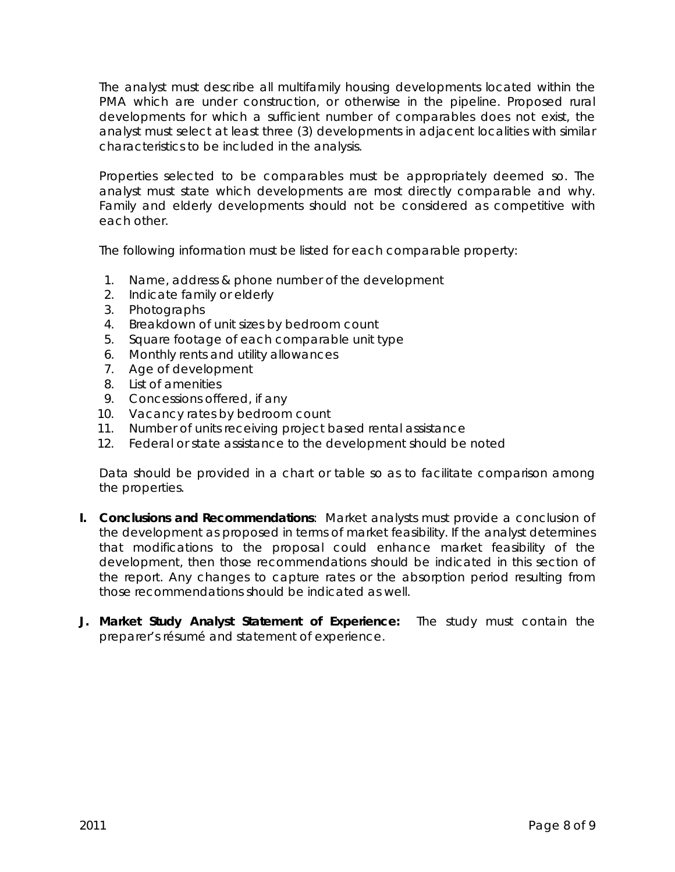The analyst must describe all multifamily housing developments located within the PMA which are under construction, or otherwise in the pipeline. Proposed rural developments for which a sufficient number of comparables does not exist, the analyst must select at least three (3) developments in adjacent localities with similar characteristics to be included in the analysis.

Properties selected to be comparables must be appropriately deemed so. The analyst must state which developments are most directly comparable and why. Family and elderly developments should not be considered as competitive with each other.

The following information must be listed for each comparable property:

- 1. Name, address & phone number of the development
- 2. Indicate family or elderly
- 3. Photographs
- 4. Breakdown of unit sizes by bedroom count
- 5. Square footage of each comparable unit type
- 6. Monthly rents and utility allowances
- 7. Age of development
- 8. List of amenities
- 9. Concessions offered, if any
- 10. Vacancy rates by bedroom count
- 11. Number of units receiving project based rental assistance
- 12. Federal or state assistance to the development should be noted

Data should be provided in a chart or table so as to facilitate comparison among the properties.

- **I. Conclusions and Recommendations**:Market analysts must provide a conclusion of the development as proposed in terms of market feasibility. If the analyst determines that modifications to the proposal could enhance market feasibility of the development, then those recommendations should be indicated in this section of the report. Any changes to capture rates or the absorption period resulting from those recommendations should be indicated as well.
- **J. Market Study Analyst Statement of Experience:** The study must contain the preparer's résumé and statement of experience.